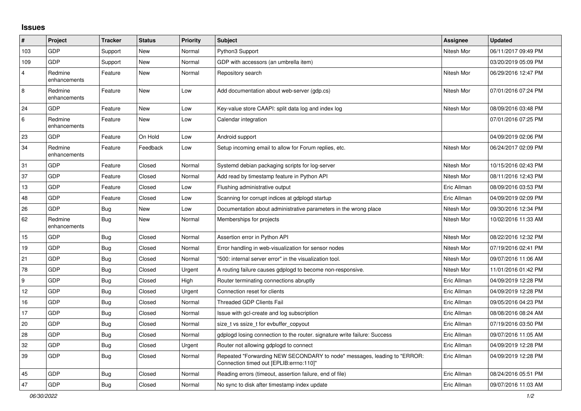## **Issues**

| #                       | Project                 | <b>Tracker</b> | <b>Status</b> | <b>Priority</b> | <b>Subject</b>                                                                                                      | <b>Assignee</b> | <b>Updated</b>      |
|-------------------------|-------------------------|----------------|---------------|-----------------|---------------------------------------------------------------------------------------------------------------------|-----------------|---------------------|
| 103                     | GDP                     | Support        | New           | Normal          | Python3 Support                                                                                                     | Nitesh Mor      | 06/11/2017 09:49 PM |
| 109                     | GDP                     | Support        | <b>New</b>    | Normal          | GDP with accessors (an umbrella item)                                                                               |                 | 03/20/2019 05:09 PM |
| $\overline{\mathbf{4}}$ | Redmine<br>enhancements | Feature        | <b>New</b>    | Normal          | Repository search                                                                                                   | Nitesh Mor      | 06/29/2016 12:47 PM |
| 8                       | Redmine<br>enhancements | Feature        | New           | Low             | Add documentation about web-server (gdp.cs)                                                                         | Nitesh Mor      | 07/01/2016 07:24 PM |
| 24                      | <b>GDP</b>              | Feature        | New           | Low             | Key-value store CAAPI: split data log and index log                                                                 | Nitesh Mor      | 08/09/2016 03:48 PM |
| 6                       | Redmine<br>enhancements | Feature        | New           | Low             | Calendar integration                                                                                                |                 | 07/01/2016 07:25 PM |
| 23                      | GDP                     | Feature        | On Hold       | Low             | Android support                                                                                                     |                 | 04/09/2019 02:06 PM |
| 34                      | Redmine<br>enhancements | Feature        | Feedback      | Low             | Setup incoming email to allow for Forum replies, etc.                                                               | Nitesh Mor      | 06/24/2017 02:09 PM |
| 31                      | GDP                     | Feature        | Closed        | Normal          | Systemd debian packaging scripts for log-server                                                                     | Nitesh Mor      | 10/15/2016 02:43 PM |
| 37                      | GDP                     | Feature        | Closed        | Normal          | Add read by timestamp feature in Python API                                                                         | Nitesh Mor      | 08/11/2016 12:43 PM |
| 13                      | GDP                     | Feature        | Closed        | Low             | Flushing administrative output                                                                                      | Eric Allman     | 08/09/2016 03:53 PM |
| 48                      | GDP                     | Feature        | Closed        | Low             | Scanning for corrupt indices at gdplogd startup                                                                     | Eric Allman     | 04/09/2019 02:09 PM |
| 26                      | GDP                     | Bug            | <b>New</b>    | Low             | Documentation about administrative parameters in the wrong place                                                    | Nitesh Mor      | 09/30/2016 12:34 PM |
| 62                      | Redmine<br>enhancements | <b>Bug</b>     | <b>New</b>    | Normal          | Memberships for projects                                                                                            | Nitesh Mor      | 10/02/2016 11:33 AM |
| 15                      | GDP                     | Bug            | Closed        | Normal          | Assertion error in Python API                                                                                       | Nitesh Mor      | 08/22/2016 12:32 PM |
| 19                      | GDP                     | <b>Bug</b>     | Closed        | Normal          | Error handling in web-visualization for sensor nodes                                                                | Nitesh Mor      | 07/19/2016 02:41 PM |
| 21                      | GDP                     | Bug            | Closed        | Normal          | '500: internal server error" in the visualization tool.                                                             | Nitesh Mor      | 09/07/2016 11:06 AM |
| 78                      | <b>GDP</b>              | Bug            | Closed        | Urgent          | A routing failure causes gdplogd to become non-responsive.                                                          | Nitesh Mor      | 11/01/2016 01:42 PM |
| 9                       | GDP                     | <b>Bug</b>     | Closed        | High            | Router terminating connections abruptly                                                                             | Eric Allman     | 04/09/2019 12:28 PM |
| 12                      | GDP                     | Bug            | Closed        | Urgent          | Connection reset for clients                                                                                        | Eric Allman     | 04/09/2019 12:28 PM |
| 16                      | GDP                     | Bug            | Closed        | Normal          | <b>Threaded GDP Clients Fail</b>                                                                                    | Eric Allman     | 09/05/2016 04:23 PM |
| 17                      | GDP                     | <b>Bug</b>     | Closed        | Normal          | Issue with gcl-create and log subscription                                                                          | Eric Allman     | 08/08/2016 08:24 AM |
| 20                      | GDP                     | Bug            | Closed        | Normal          | size t vs ssize t for evbuffer copyout                                                                              | Eric Allman     | 07/19/2016 03:50 PM |
| 28                      | GDP                     | Bug            | Closed        | Normal          | gdplogd losing connection to the router, signature write failure: Success                                           | Eric Allman     | 09/07/2016 11:05 AM |
| 32                      | <b>GDP</b>              | <b>Bug</b>     | Closed        | Urgent          | Router not allowing gdplogd to connect                                                                              | Eric Allman     | 04/09/2019 12:28 PM |
| 39                      | GDP                     | Bug            | Closed        | Normal          | Repeated "Forwarding NEW SECONDARY to node" messages, leading to "ERROR:<br>Connection timed out [EPLIB:errno:110]" | Eric Allman     | 04/09/2019 12:28 PM |
| 45                      | GDP                     | <b>Bug</b>     | Closed        | Normal          | Reading errors (timeout, assertion failure, end of file)                                                            | Eric Allman     | 08/24/2016 05:51 PM |
| 47                      | GDP                     | Bug            | Closed        | Normal          | No sync to disk after timestamp index update                                                                        | Eric Allman     | 09/07/2016 11:03 AM |